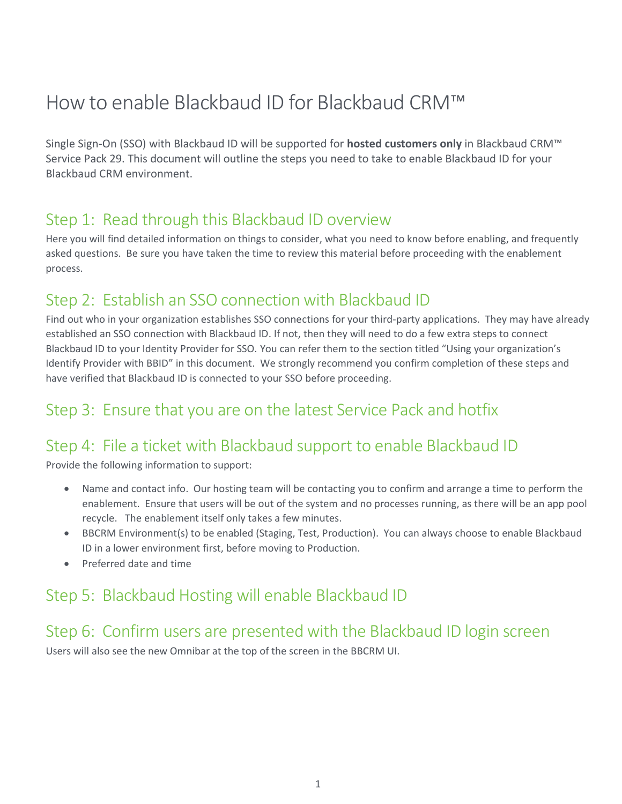# How to enable Blackbaud ID for Blackbaud CRM™

Single Sign-On (SSO) with Blackbaud ID will be supported for **hosted customers only** in Blackbaud CRM™ Service Pack 29. This document will outline the steps you need to take to enable Blackbaud ID for your Blackbaud CRM environment.

### Step 1: Read through this Blackbaud ID overview

Here you will find detailed information on things to consider, what you need to know before enabling, and frequently asked questions. Be sure you have taken the time to review this material before proceeding with the enablement process.

## Step 2: Establish an SSO connection with Blackbaud ID

Find out who in your organization establishes SSO connections for your third-party applications. They may have already established an SSO connection with Blackbaud ID. If not, then they will need to do a few extra steps to connect Blackbaud ID to your Identity Provider for SSO. You can refer them to the section titled "Using your organization's Identify Provider with BBID" in this document. We strongly recommend you confirm completion of these steps and have verified that Blackbaud ID is connected to your SSO before proceeding.

## Step 3: Ensure that you are on the latest Service Pack and hotfix

## Step 4: File a ticket with Blackbaud support to enable Blackbaud ID

Provide the following information to support:

- Name and contact info. Our hosting team will be contacting you to confirm and arrange a time to perform the enablement. Ensure that users will be out of the system and no processes running, as there will be an app pool recycle. The enablement itself only takes a few minutes.
- BBCRM Environment(s) to be enabled (Staging, Test, Production). You can always choose to enable Blackbaud ID in a lower environment first, before moving to Production.
- Preferred date and time

## Step 5: Blackbaud Hosting will enable Blackbaud ID

### Step 6: Confirm users are presented with the Blackbaud ID login screen

Users will also see the new Omnibar at the top of the screen in the BBCRM UI.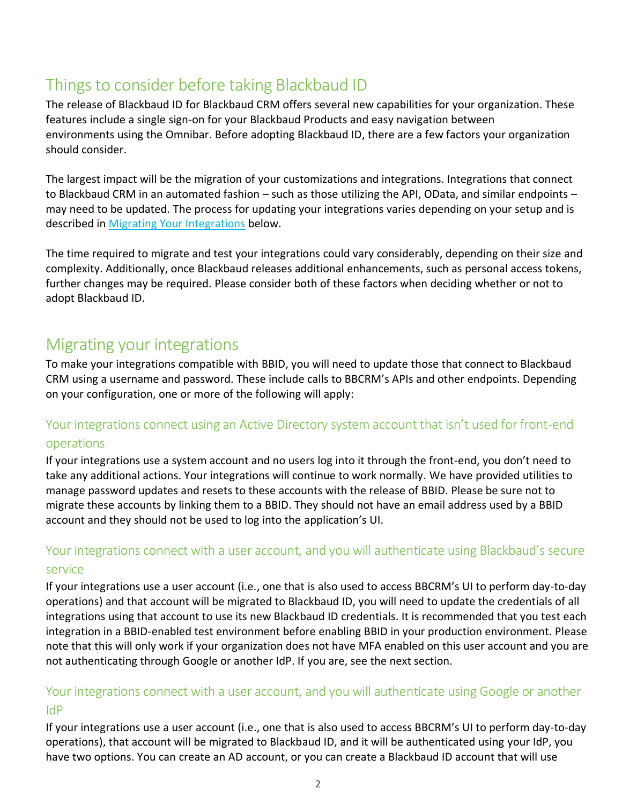## Things to consider before taking Blackbaud ID

The release of Blackbaud ID for Blackbaud CRM offers several new capabilities for your organization. These features include a single sign-on for your Blackbaud Products and easy navigation between environments using the Omnibar. Before adopting Blackbaud ID, there are a few factors your organization should consider.

The largest impact will be the migration of your customizations and integrations. Integrations that connect to Blackbaud CRM in an automated fashion – such as those utilizing the API, OData, and similar endpoints – may need to be updated. The process for updating your integrations varies depending on your setup and is described in [Migrating Your Integrations](#page-1-0) below.

The time required to migrate and test your integrations could vary considerably, depending on their size and complexity. Additionally, once Blackbaud releases additional enhancements, such as personal access tokens, further changes may be required. Please consider both of these factors when deciding whether or not to adopt Blackbaud ID.

## <span id="page-1-0"></span>Migrating your integrations

To make your integrations compatible with BBID, you will need to update those that connect to Blackbaud CRM using a username and password. These include calls to BBCRM's APIs and other endpoints. Depending on your configuration, one or more of the following will apply:

#### Your integrations connect using an Active Directory system account that isn't used for front-end

#### operations

If your integrations use a system account and no users log into it through the front-end, you don't need to take any additional actions. Your integrations will continue to work normally. We have provided utilities to manage password updates and resets to these accounts with the release of BBID. Please be sure not to migrate these accounts by linking them to a BBID. They should not have an email address used by a BBID account and they should not be used to log into the application's UI.

#### Your integrations connect with a user account, and you will authenticate using Blackbaud's secure service

If your integrations use a user account (i.e., one that is also used to access BBCRM's UI to perform day-to-day operations) and that account will be migrated to Blackbaud ID, you will need to update the credentials of all integrations using that account to use its new Blackbaud ID credentials. It is recommended that you test each integration in a BBID-enabled test environment before enabling BBID in your production environment. Please note that this will only work if your organization does not have MFA enabled on this user account and you are not authenticating through Google or another IdP. If you are, see the next section.

#### Your integrations connect with a user account, and you will authenticate using Google or another IdP

If your integrations use a user account (i.e., one that is also used to access BBCRM's UI to perform day-to-day operations), that account will be migrated to Blackbaud ID, and it will be authenticated using your IdP, you have two options. You can create an AD account, or you can create a Blackbaud ID account that will use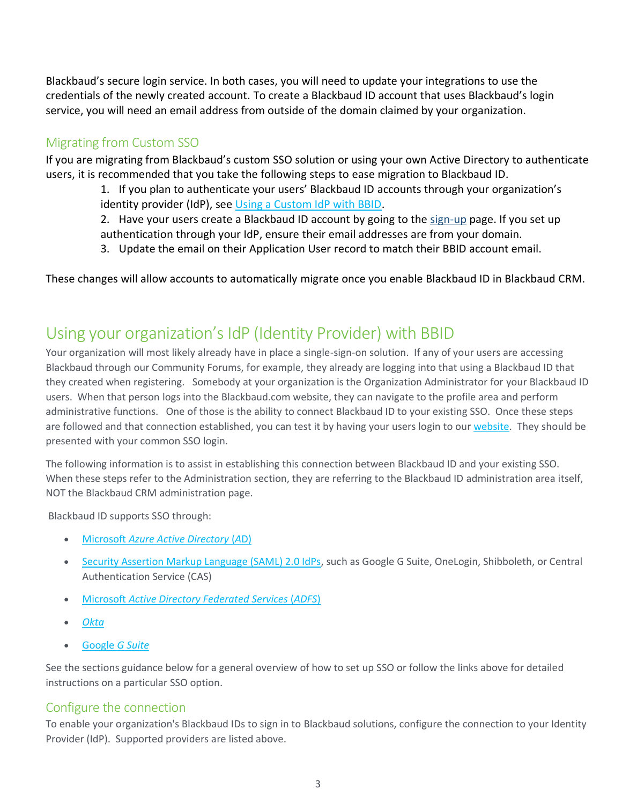Blackbaud's secure login service. In both cases, you will need to update your integrations to use the credentials of the newly created account. To create a Blackbaud ID account that uses Blackbaud's login service, you will need an email address from outside of the domain claimed by your organization.

#### Migrating from Custom SSO

If you are migrating from Blackbaud's custom SSO solution or using your own Active Directory to authenticate users, it is recommended that you take the following steps to ease migration to Blackbaud ID.

1. If you plan to authenticate your users' Blackbaud ID accounts through your organization's identity provider (IdP), see [Using a Custom IdP with BBID.](#page-2-0)

2. Have your users create a Blackbaud ID account by going to the [sign-up](https://signin.blackbaud.com/signin/sign-up) page. If you set up authentication through your IdP, ensure their email addresses are from your domain.

3. Update the email on their Application User record to match their BBID account email.

These changes will allow accounts to automatically migrate once you enable Blackbaud ID in Blackbaud CRM.

## <span id="page-2-0"></span>Using your organization's IdP (Identity Provider) with BBID

Your organization will most likely already have in place a single-sign-on solution. If any of your users are accessing Blackbaud through our Community Forums, for example, they already are logging into that using a Blackbaud ID that they created when registering. Somebody at your organization is the Organization Administrator for your Blackbaud ID users. When that person logs into the Blackbaud.com website, they can navigate to the profile area and perform administrative functions. One of those is the ability to connect Blackbaud ID to your existing SSO. Once these steps are followed and that connection established, you can test it by having your users login to our [website.](https://signin.blackbaud.com/signin/) They should be presented with your common SSO login.

The following information is to assist in establishing this connection between Blackbaud ID and your existing SSO. When these steps refer to the Administration section, they are referring to the Blackbaud ID administration area itself, NOT the Blackbaud CRM administration page.

Blackbaud ID supports SSO through:

- Microsoft *[Azure Active Directory](https://webfiles.blackbaud.com/files/support/helpfiles/admin/content/auth-azure-ad-apps.html)* (*A*D)
- [Security Assertion Markup Language \(SAML\) 2.0 IdPs,](https://webfiles.blackbaud.com/files/support/helpfiles/admin/content/auth-saml-connections.html) such as Google G Suite, OneLogin, Shibboleth, or Central Authentication Service (CAS)
- Microsoft *[Active Directory Federated Services](https://webfiles.blackbaud.com/files/support/helpfiles/admin/content/auth-adfs-connections.html)* (*ADFS*)
- *[Okta](https://webfiles.blackbaud.com/files/support/helpfiles/admin/content/auth-okta-apps.html)*
- [Google](https://webfiles.blackbaud.com/files/support/helpfiles/admin/content/auth-g-suite-setup.html) *G Suite*

See the sections guidance below for a general overview of how to set up SSO or follow the links above for detailed instructions on a particular SSO option.

#### [Configure the connection](https://docs.blackbaud.com/sso-overview-docs/setup#configure-the-connection)

To enable your organization's Blackbaud IDs to sign in to Blackbaud solutions, configure the connection to your Identity Provider (IdP). Supported providers are listed above.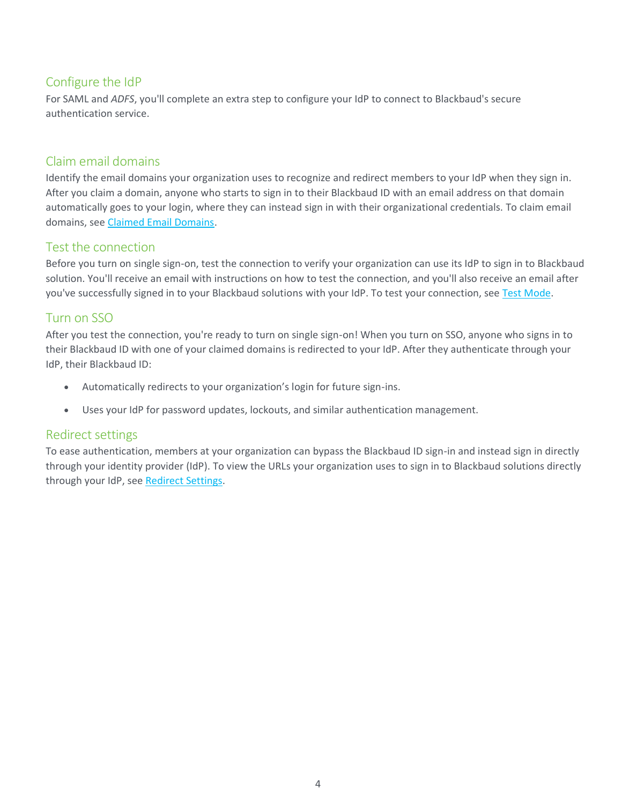#### Configure the IdP

For SAML and *ADFS*, you'll complete an extra step to configure your IdP to connect to Blackbaud's secure authentication service.

#### Claim email domains

Identify the email domains your organization uses to recognize and redirect members to your IdP when they sign in. After you claim a domain, anyone who starts to sign in to their Blackbaud ID with an email address on that domain automatically goes to your login, where they can instead sign in with their organizational credentials. To claim email domains, see [Claimed Email Domains.](https://www.blackbaud.com/files/support/helpfiles/admin/content/auth-email-domains.html)

#### Test the connection

Before you turn on single sign-on, test the connection to verify your organization can use its IdP to sign in to Blackbaud solution. You'll receive an email with instructions on how to test the connection, and you'll also receive an email after you've successfully signed in to your Blackbaud solutions with your IdP. To test your connection, see [Test Mode.](https://www.blackbaud.com/files/support/helpfiles/admin/content/auth-test-mode.html)

#### Turn on SSO

After you test the connection, you're ready to turn on single sign-on! When you turn on SSO, anyone who signs in to their Blackbaud ID with one of your claimed domains is redirected to your IdP. After they authenticate through your IdP, their Blackbaud ID:

- Automatically redirects to your organization's login for future sign-ins.
- Uses your IdP for password updates, lockouts, and similar authentication management.

#### Redirect settings

<span id="page-3-0"></span>To ease authentication, members at your organization can bypass the Blackbaud ID sign-in and instead sign in directly through your identity provider (IdP). To view the URLs your organization uses to sign in to Blackbaud solutions directly through your IdP, see [Redirect Settings.](https://www.blackbaud.com/files/support/helpfiles/admin/content/auth-redirect-hints.html)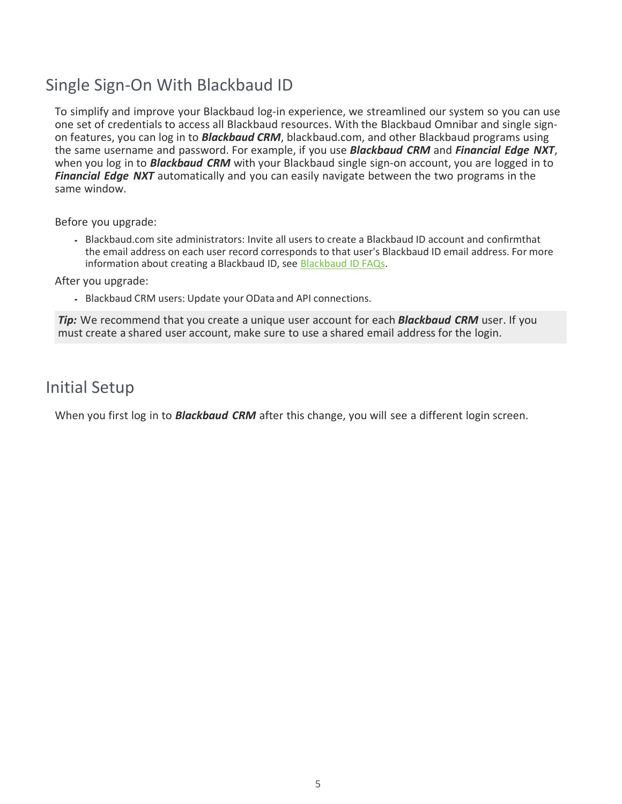## Single Sign-On With Blackbaud ID

To simplify and improve your Blackbaud log-in experience, we streamlined our system so you can use one set of credentials to access all Blackbaud resources. With the Blackbaud Omnibar and single signon features, you can log in to *Blackbaud CRM*, blackbaud.com, and other Blackbaud programs using the same username and password. For example, if you use *Blackbaud CRM* and *Financial Edge NXT*, when you log in to *Blackbaud CRM* with your Blackbaud single sign-on account, you are logged in to *Financial Edge NXT* automatically and you can easily navigate between the two programs in the same window.

Before you upgrade:

 Blackbaud.com site administrators: Invite all users to create a Blackbaud ID account and confirmthat the email address on each user record corresponds to that user's Blackbaud ID email address. For more information about creating a Blackbaud ID, see [Blackbaud](https://docs.blackbaud.com/bbid-docs/faq/bbid) ID FAQs.

After you upgrade:

Blackbaud CRM users: Update your OData and API connections.

*Tip:* We recommend that you create a unique user account for each *Blackbaud CRM* user. If you must create a shared user account, make sure to use a shared email address for the login.

### Initial Setup

When you first log in to *Blackbaud CRM* after this change, you will see a different login screen.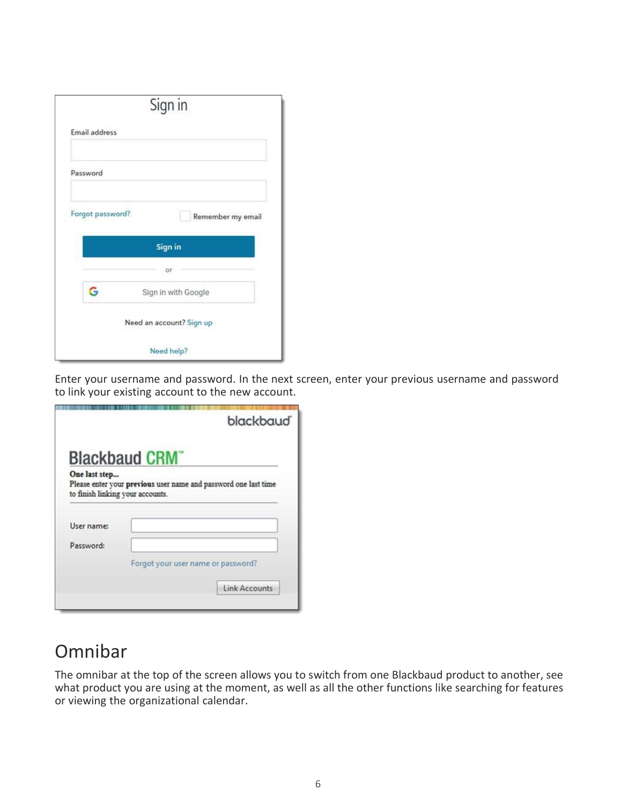|                  | Sign in                  |
|------------------|--------------------------|
| Email address    |                          |
| Password         |                          |
| Forgot password? | Remember my email        |
|                  |                          |
|                  | Sign in                  |
|                  | or                       |
| G                | Sign in with Google      |
|                  | Need an account? Sign up |

Enter your username and password. In the next screen, enter your previous username and password to link your existing account to the new account.

|               | blackbaud <sup>®</sup>                                                                              |  |  |
|---------------|-----------------------------------------------------------------------------------------------------|--|--|
|               | <b>Blackbaud CRM</b>                                                                                |  |  |
| One last step | Please enter your previous user name and password one last time<br>to finish linking your accounts. |  |  |
| User name:    |                                                                                                     |  |  |
| Password:     |                                                                                                     |  |  |
|               | Forgot your user name or password?                                                                  |  |  |
|               |                                                                                                     |  |  |

## Omnibar

The omnibar at the top of the screen allows you to switch from one Blackbaud product to another, see what product you are using at the moment, as well as all the other functions like searching for features or viewing the organizational calendar.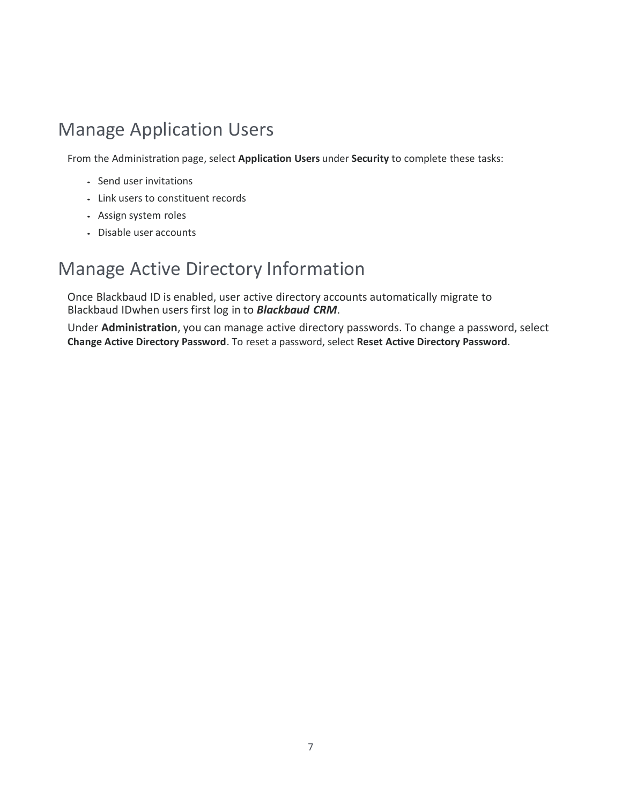## Manage Application Users

From the Administration page, select **Application Users** under **Security** to complete these tasks:

- Send user invitations
- Link users to constituent records
- Assign system roles
- Disable user accounts

## Manage Active Directory Information

Once Blackbaud ID is enabled, user active directory accounts automatically migrate to Blackbaud IDwhen users first log in to *Blackbaud CRM*.

Under **Administration**, you can manage active directory passwords. To change a password, select **Change Active Directory Password**. To reset a password, select **Reset Active Directory Password**.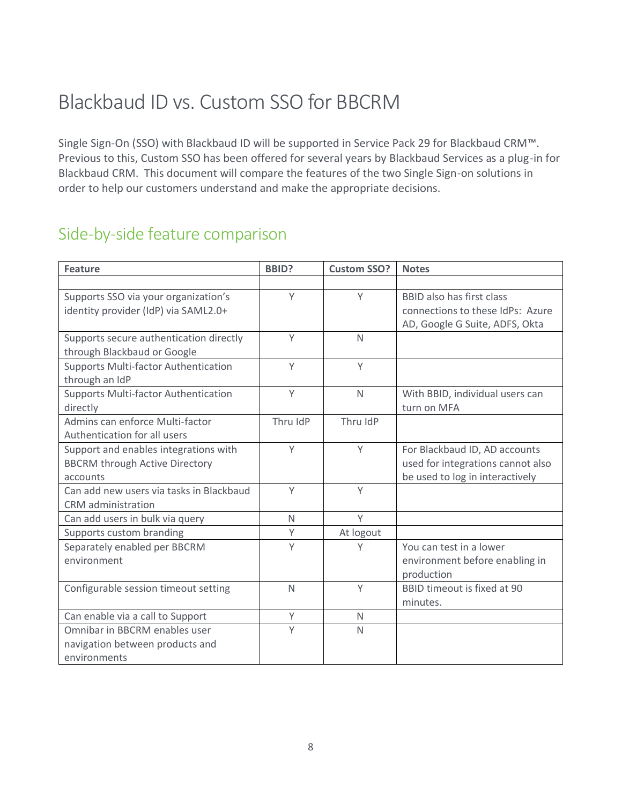# Blackbaud ID vs. Custom SSO for BBCRM

Single Sign-On (SSO) with Blackbaud ID will be supported in Service Pack 29 for Blackbaud CRM™. Previous to this, Custom SSO has been offered for several years by Blackbaud Services as a plug-in for Blackbaud CRM. This document will compare the features of the two Single Sign-on solutions in order to help our customers understand and make the appropriate decisions.

## Side-by-side feature comparison

| <b>Feature</b>                              | <b>BBID?</b> | <b>Custom SSO?</b> | <b>Notes</b>                      |
|---------------------------------------------|--------------|--------------------|-----------------------------------|
|                                             |              |                    |                                   |
| Supports SSO via your organization's        | Y            | Y                  | <b>BBID also has first class</b>  |
| identity provider (IdP) via SAML2.0+        |              |                    | connections to these IdPs: Azure  |
|                                             |              |                    | AD, Google G Suite, ADFS, Okta    |
| Supports secure authentication directly     | Y            | $\mathsf{N}$       |                                   |
| through Blackbaud or Google                 |              |                    |                                   |
| <b>Supports Multi-factor Authentication</b> | Y            | Y                  |                                   |
| through an IdP                              |              |                    |                                   |
| <b>Supports Multi-factor Authentication</b> | Y            | $\mathsf{N}$       | With BBID, individual users can   |
| directly                                    |              |                    | turn on MFA                       |
| Admins can enforce Multi-factor             | Thru IdP     | Thru IdP           |                                   |
| Authentication for all users                |              |                    |                                   |
| Support and enables integrations with       | Y            | Y                  | For Blackbaud ID, AD accounts     |
| <b>BBCRM through Active Directory</b>       |              |                    | used for integrations cannot also |
| accounts                                    |              |                    | be used to log in interactively   |
| Can add new users via tasks in Blackbaud    | Y            | Y                  |                                   |
| CRM administration                          |              |                    |                                   |
| Can add users in bulk via query             | $\mathsf{N}$ | Y                  |                                   |
| Supports custom branding                    | Y            | At logout          |                                   |
| Separately enabled per BBCRM                | $\mathsf{Y}$ | Y                  | You can test in a lower           |
| environment                                 |              |                    | environment before enabling in    |
|                                             |              |                    | production                        |
| Configurable session timeout setting        | $\mathsf{N}$ | Y                  | BBID timeout is fixed at 90       |
|                                             |              |                    | minutes.                          |
| Can enable via a call to Support            | Y            | $\mathsf{N}$       |                                   |
| Omnibar in BBCRM enables user               | Y            | $\mathsf{N}$       |                                   |
| navigation between products and             |              |                    |                                   |
| environments                                |              |                    |                                   |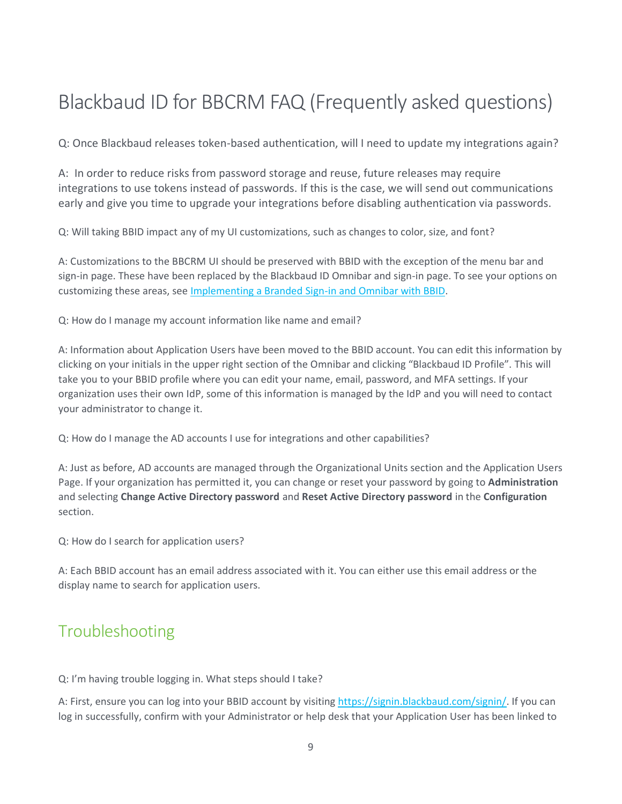# Blackbaud ID for BBCRM FAQ (Frequently asked questions)

Q: Once Blackbaud releases token-based authentication, will I need to update my integrations again?

A: In order to reduce risks from password storage and reuse, future releases may require integrations to use tokens instead of passwords. If this is the case, we will send out communications early and give you time to upgrade your integrations before disabling authentication via passwords.

Q: Will taking BBID impact any of my UI customizations, such as changes to color, size, and font?

A: Customizations to the BBCRM UI should be preserved with BBID with the exception of the menu bar and sign-in page. These have been replaced by the Blackbaud ID Omnibar and sign-in page. To see your options on customizing these areas, see [Implementing a Branded Sign-in and Omnibar with BBID.](#page-3-0)

Q: How do I manage my account information like name and email?

A: Information about Application Users have been moved to the BBID account. You can edit this information by clicking on your initials in the upper right section of the Omnibar and clicking "Blackbaud ID Profile". This will take you to your BBID profile where you can edit your name, email, password, and MFA settings. If your organization uses their own IdP, some of this information is managed by the IdP and you will need to contact your administrator to change it.

Q: How do I manage the AD accounts I use for integrations and other capabilities?

A: Just as before, AD accounts are managed through the Organizational Units section and the Application Users Page. If your organization has permitted it, you can change or reset your password by going to **Administration** and selecting **Change Active Directory password** and **Reset Active Directory password** in the **Configuration** section.

Q: How do I search for application users?

A: Each BBID account has an email address associated with it. You can either use this email address or the display name to search for application users.

### Troubleshooting

Q: I'm having trouble logging in. What steps should I take?

A: First, ensure you can log into your BBID account by visiting [https://signin.blackbaud.com/signin/.](https://signin.blackbaud.com/signin/) If you can log in successfully, confirm with your Administrator or help desk that your Application User has been linked to